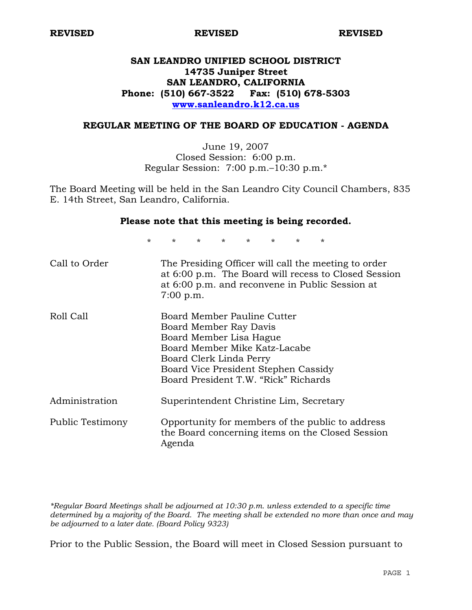# **SAN LEANDRO UNIFIED SCHOOL DISTRICT 14735 Juniper Street SAN LEANDRO, CALIFORNIA Phone: (510) 667-3522 Fax: (510) 678-5303 www.sanleandro.k12.ca.us**

# **REGULAR MEETING OF THE BOARD OF EDUCATION - AGENDA**

June 19, 2007 Closed Session: 6:00 p.m. Regular Session: 7:00 p.m.–10:30 p.m.\*

The Board Meeting will be held in the San Leandro City Council Chambers, 835 E. 14th Street, San Leandro, California.

#### **Please note that this meeting is being recorded.**

\* \* \* \* \* \* \* \*

| Call to Order    | The Presiding Officer will call the meeting to order<br>at 6:00 p.m. The Board will recess to Closed Session<br>at 6:00 p.m. and reconvene in Public Session at<br>7:00 p.m.                                                 |
|------------------|------------------------------------------------------------------------------------------------------------------------------------------------------------------------------------------------------------------------------|
| Roll Call        | Board Member Pauline Cutter<br>Board Member Ray Davis<br>Board Member Lisa Hague<br>Board Member Mike Katz-Lacabe<br>Board Clerk Linda Perry<br>Board Vice President Stephen Cassidy<br>Board President T.W. "Rick" Richards |
| Administration   | Superintendent Christine Lim, Secretary                                                                                                                                                                                      |
| Public Testimony | Opportunity for members of the public to address<br>the Board concerning items on the Closed Session<br>Agenda                                                                                                               |

*\*Regular Board Meetings shall be adjourned at 10:30 p.m. unless extended to a specific time determined by a majority of the Board. The meeting shall be extended no more than once and may be adjourned to a later date. (Board Policy 9323)* 

Prior to the Public Session, the Board will meet in Closed Session pursuant to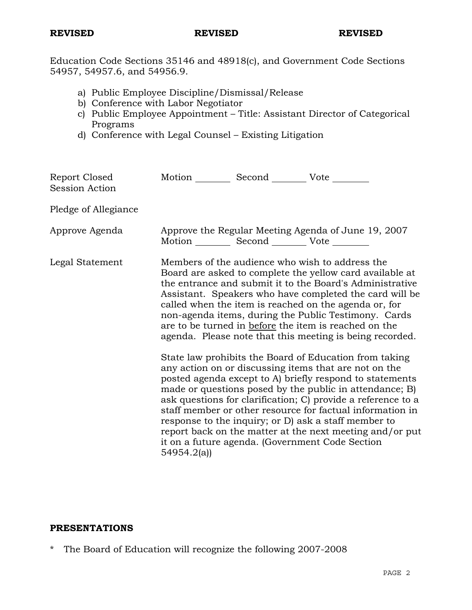Education Code Sections 35146 and 48918(c), and Government Code Sections 54957, 54957.6, and 54956.9.

- a) Public Employee Discipline/Dismissal/Release
- b) Conference with Labor Negotiator
- c) Public Employee Appointment Title: Assistant Director of Categorical Programs
- d) Conference with Legal Counsel Existing Litigation

| Report Closed<br>Session Action | Motion __________ Second __________ Vote ________ |                                                                                                                                                                                                                                                                                                                                                                                                                                                                                                                                                                                                                                                                                                                                                                                                                                                                                                                                                                                                                        |
|---------------------------------|---------------------------------------------------|------------------------------------------------------------------------------------------------------------------------------------------------------------------------------------------------------------------------------------------------------------------------------------------------------------------------------------------------------------------------------------------------------------------------------------------------------------------------------------------------------------------------------------------------------------------------------------------------------------------------------------------------------------------------------------------------------------------------------------------------------------------------------------------------------------------------------------------------------------------------------------------------------------------------------------------------------------------------------------------------------------------------|
| Pledge of Allegiance            |                                                   |                                                                                                                                                                                                                                                                                                                                                                                                                                                                                                                                                                                                                                                                                                                                                                                                                                                                                                                                                                                                                        |
| Approve Agenda                  | Motion __________ Second __________ Vote ________ | Approve the Regular Meeting Agenda of June 19, 2007                                                                                                                                                                                                                                                                                                                                                                                                                                                                                                                                                                                                                                                                                                                                                                                                                                                                                                                                                                    |
| Legal Statement                 | 54954.2(a)                                        | Members of the audience who wish to address the<br>Board are asked to complete the yellow card available at<br>the entrance and submit it to the Board's Administrative<br>Assistant. Speakers who have completed the card will be<br>called when the item is reached on the agenda or, for<br>non-agenda items, during the Public Testimony. Cards<br>are to be turned in before the item is reached on the<br>agenda. Please note that this meeting is being recorded.<br>State law prohibits the Board of Education from taking<br>any action on or discussing items that are not on the<br>posted agenda except to A) briefly respond to statements<br>made or questions posed by the public in attendance; B)<br>ask questions for clarification; C) provide a reference to a<br>staff member or other resource for factual information in<br>response to the inquiry; or D) ask a staff member to<br>report back on the matter at the next meeting and/or put<br>it on a future agenda. (Government Code Section |

# **PRESENTATIONS**

\* The Board of Education will recognize the following 2007-2008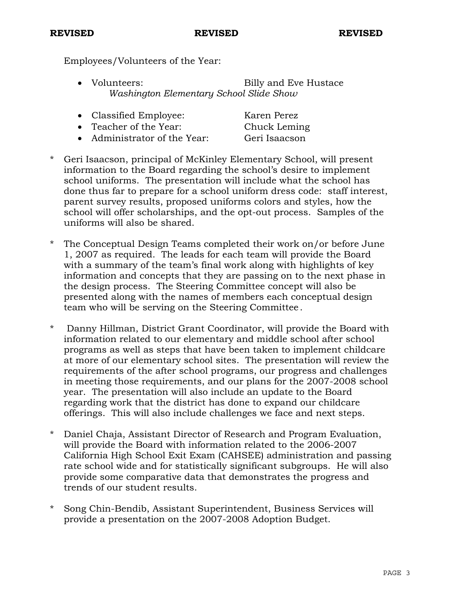Employees/Volunteers of the Year:

• Volunteers: Billy and Eve Hustace *Washington Elementary School Slide Show* 

| • Classified Employee: | Karen Perez  |
|------------------------|--------------|
| • Teacher of the Year: | Chuck Leming |

- Administrator of the Year: Geri Isaacson
- \* Geri Isaacson, principal of McKinley Elementary School, will present information to the Board regarding the school's desire to implement school uniforms. The presentation will include what the school has done thus far to prepare for a school uniform dress code: staff interest, parent survey results, proposed uniforms colors and styles, how the school will offer scholarships, and the opt-out process. Samples of the uniforms will also be shared.
- \* The Conceptual Design Teams completed their work on/or before June 1, 2007 as required. The leads for each team will provide the Board with a summary of the team's final work along with highlights of key information and concepts that they are passing on to the next phase in the design process. The Steering Committee concept will also be presented along with the names of members each conceptual design team who will be serving on the Steering Committee.
- \* Danny Hillman, District Grant Coordinator, will provide the Board with information related to our elementary and middle school after school programs as well as steps that have been taken to implement childcare at more of our elementary school sites. The presentation will review the requirements of the after school programs, our progress and challenges in meeting those requirements, and our plans for the 2007-2008 school year. The presentation will also include an update to the Board regarding work that the district has done to expand our childcare offerings. This will also include challenges we face and next steps.
- Daniel Chaja, Assistant Director of Research and Program Evaluation, will provide the Board with information related to the 2006-2007 California High School Exit Exam (CAHSEE) administration and passing rate school wide and for statistically significant subgroups. He will also provide some comparative data that demonstrates the progress and trends of our student results.
- \* Song Chin-Bendib, Assistant Superintendent, Business Services will provide a presentation on the 2007-2008 Adoption Budget.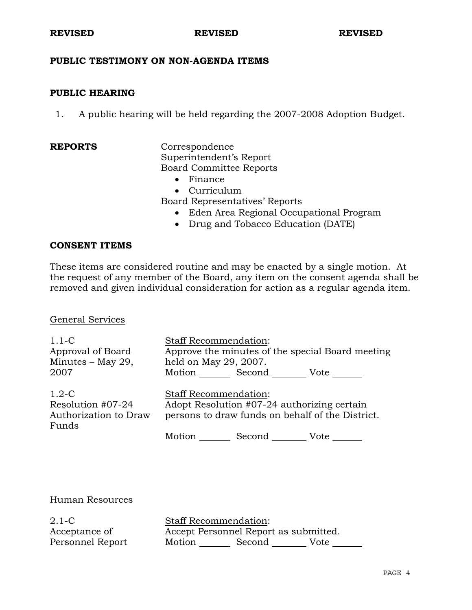# **PUBLIC TESTIMONY ON NON-AGENDA ITEMS**

### **PUBLIC HEARING**

1. A public hearing will be held regarding the 2007-2008 Adoption Budget.

**REPORTS** Correspondence Superintendent's Report Board Committee Reports

- Finance
- Curriculum

Board Representatives' Reports

- Eden Area Regional Occupational Program
- Drug and Tobacco Education (DATE)

### **CONSENT ITEMS**

These items are considered routine and may be enacted by a single motion. At the request of any member of the Board, any item on the consent agenda shall be removed and given individual consideration for action as a regular agenda item.

#### General Services

| $1.1-C$<br>Approval of Board<br>Minutes $-$ May 29,<br>2007    |                                                                                                                                 | <b>Staff Recommendation:</b><br>held on May 29, 2007.<br>Motion Second | Approve the minutes of the special Board meeting<br>Vote |
|----------------------------------------------------------------|---------------------------------------------------------------------------------------------------------------------------------|------------------------------------------------------------------------|----------------------------------------------------------|
| $1.2-C$<br>Resolution #07-24<br>Authorization to Draw<br>Funds | <b>Staff Recommendation:</b><br>Adopt Resolution #07-24 authorizing certain<br>persons to draw funds on behalf of the District. |                                                                        |                                                          |
|                                                                | Motion                                                                                                                          | Second                                                                 | Vote                                                     |

# Human Resources

2.1-C Acceptance of Personnel Report Staff Recommendation: Accept Personnel Report as submitted. Motion Second Vote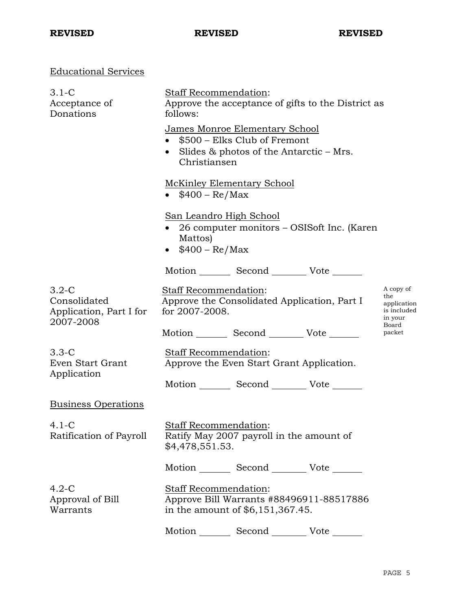# Educational Services

| $3.1-C$<br>Acceptance of<br>Donations                           | Staff Recommendation:<br>Approve the acceptance of gifts to the District as<br>follows:                      |                                                                                                              |                                                 |                                                                    |
|-----------------------------------------------------------------|--------------------------------------------------------------------------------------------------------------|--------------------------------------------------------------------------------------------------------------|-------------------------------------------------|--------------------------------------------------------------------|
|                                                                 | Christiansen                                                                                                 | James Monroe Elementary School<br>\$500 - Elks Club of Fremont<br>Slides $\&$ photos of the Antarctic – Mrs. |                                                 |                                                                    |
|                                                                 | • $$400 - Re/Max$                                                                                            | McKinley Elementary School                                                                                   |                                                 |                                                                    |
|                                                                 | Mattos)<br>$$400 - Re/Max$                                                                                   | <u>San Leandro High School</u>                                                                               | • 26 computer monitors – OSIS oft Inc. (Karen   |                                                                    |
|                                                                 |                                                                                                              |                                                                                                              | Motion _________ Second __________ Vote _______ |                                                                    |
| $3.2-C$<br>Consolidated<br>Application, Part I for<br>2007-2008 | Staff Recommendation:<br>for 2007-2008.                                                                      |                                                                                                              | Approve the Consolidated Application, Part I    | A copy of<br>the<br>application<br>is included<br>in your<br>Board |
|                                                                 |                                                                                                              |                                                                                                              | Motion _________ Second __________ Vote _______ | packet                                                             |
| $3.3-C$<br>Even Start Grant                                     | Staff Recommendation:                                                                                        | Approve the Even Start Grant Application.                                                                    |                                                 |                                                                    |
| Application                                                     |                                                                                                              |                                                                                                              | Motion _________ Second __________ Vote _______ |                                                                    |
| <b>Business Operations</b>                                      |                                                                                                              |                                                                                                              |                                                 |                                                                    |
| $4.1-C$<br>Ratification of Payroll                              | <b>Staff Recommendation:</b><br>\$4,478,551.53.                                                              | Ratify May 2007 payroll in the amount of                                                                     |                                                 |                                                                    |
|                                                                 |                                                                                                              |                                                                                                              | Motion _________ Second __________ Vote _______ |                                                                    |
| $4.2-C$<br>Approval of Bill<br>Warrants                         | <b>Staff Recommendation:</b><br>Approve Bill Warrants #88496911-88517886<br>in the amount of \$6,151,367.45. |                                                                                                              |                                                 |                                                                    |
|                                                                 |                                                                                                              | Motion _________ Second __________ Vote ____                                                                 |                                                 |                                                                    |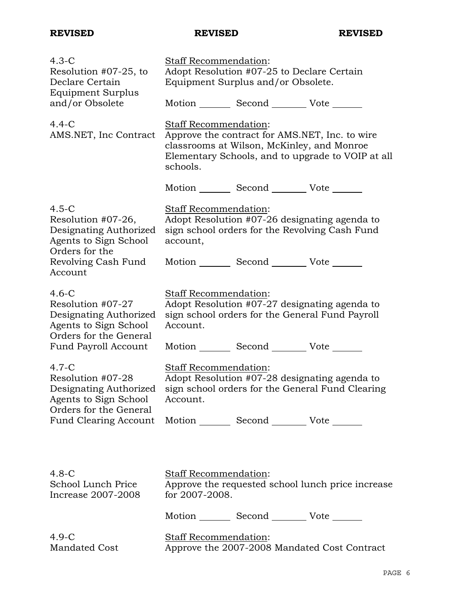| $4.3-C$<br>Resolution #07-25, to<br>Declare Certain<br><b>Equipment Surplus</b>                           | Staff Recommendation:<br>Adopt Resolution #07-25 to Declare Certain<br>Equipment Surplus and/or Obsolete.                                                                                                    |
|-----------------------------------------------------------------------------------------------------------|--------------------------------------------------------------------------------------------------------------------------------------------------------------------------------------------------------------|
| and/or Obsolete<br>$4.4-C$<br>AMS.NET, Inc Contract                                                       | Motion Second Vote<br>Staff Recommendation:<br>Approve the contract for AMS.NET, Inc. to wire<br>classrooms at Wilson, McKinley, and Monroe<br>Elementary Schools, and to upgrade to VOIP at all<br>schools. |
|                                                                                                           | Motion _________ Second __________ Vote _______                                                                                                                                                              |
| $4.5-C$<br>Resolution #07-26,<br>Designating Authorized<br>Agents to Sign School                          | Staff Recommendation:<br>Adopt Resolution #07-26 designating agenda to<br>sign school orders for the Revolving Cash Fund<br>account,                                                                         |
| Orders for the<br>Revolving Cash Fund<br>Account                                                          | Motion _________ Second __________ Vote _______                                                                                                                                                              |
| $4.6-C$<br>Resolution #07-27<br>Designating Authorized<br>Agents to Sign School<br>Orders for the General | Staff Recommendation:<br>Adopt Resolution #07-27 designating agenda to<br>sign school orders for the General Fund Payroll<br>Account.                                                                        |
| Fund Payroll Account                                                                                      | Motion _________ Second __________ Vote _______                                                                                                                                                              |
| $4.7-C$<br>Resolution #07-28<br>Designating Authorized<br>Agents to Sign School<br>Orders for the General | Staff Recommendation:<br>Adopt Resolution #07-28 designating agenda to<br>sign school orders for the General Fund Clearing<br>Account.                                                                       |
|                                                                                                           | Fund Clearing Account Motion _________ Second __________ Vote _______                                                                                                                                        |
|                                                                                                           |                                                                                                                                                                                                              |
| $4.8-C$<br>School Lunch Price<br>Increase 2007-2008                                                       | Staff Recommendation:<br>Approve the requested school lunch price increase<br>for 2007-2008.                                                                                                                 |
|                                                                                                           | Motion _________ Second __________ Vote _______                                                                                                                                                              |
| $4.9-C$<br>Mandated Cost                                                                                  | <b>Staff Recommendation:</b><br>Approve the 2007-2008 Mandated Cost Contract                                                                                                                                 |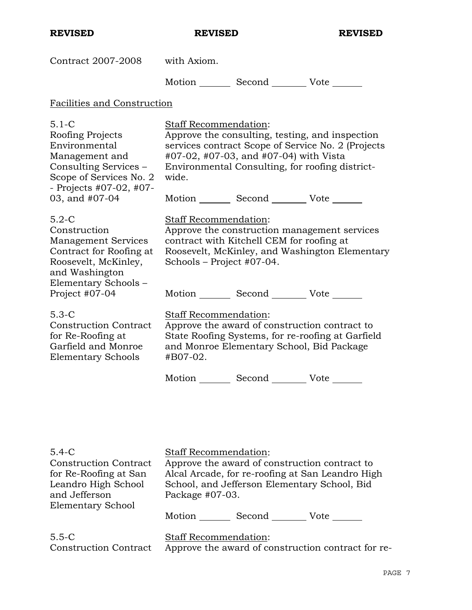| Contract 2007-2008                                                                                                                                                  | with Axiom.                                                                                                                                                                                                                                 |
|---------------------------------------------------------------------------------------------------------------------------------------------------------------------|---------------------------------------------------------------------------------------------------------------------------------------------------------------------------------------------------------------------------------------------|
|                                                                                                                                                                     | Motion _________ Second __________ Vote _______                                                                                                                                                                                             |
| Facilities and Construction                                                                                                                                         |                                                                                                                                                                                                                                             |
| $5.1 - C$<br>Roofing Projects<br>Environmental<br>Management and<br>Consulting Services -<br>Scope of Services No. 2<br>- Projects $#07-02, #07-$<br>03, and #07-04 | <b>Staff Recommendation:</b><br>Approve the consulting, testing, and inspection<br>services contract Scope of Service No. 2 (Projects<br>#07-02, #07-03, and #07-04) with Vista<br>Environmental Consulting, for roofing district-<br>wide. |
|                                                                                                                                                                     | Motion _________ Second __________ Vote _______                                                                                                                                                                                             |
| $5.2-C$<br>Construction<br><b>Management Services</b><br>Contract for Roofing at<br>Roosevelt, McKinley,<br>and Washington<br>Elementary Schools -                  | Staff Recommendation:<br>Approve the construction management services<br>contract with Kitchell CEM for roofing at<br>Roosevelt, McKinley, and Washington Elementary<br>Schools - Project #07-04.                                           |
| Project #07-04                                                                                                                                                      | Motion _________ Second __________ Vote _______                                                                                                                                                                                             |
| $5.3-C$<br><b>Construction Contract</b><br>for Re-Roofing at<br>Garfield and Monroe<br><b>Elementary Schools</b>                                                    | Staff Recommendation:<br>Approve the award of construction contract to<br>State Roofing Systems, for re-roofing at Garfield<br>and Monroe Elementary School, Bid Package<br>#B07-02.                                                        |
|                                                                                                                                                                     | Motion _________ Second __________ Vote _______                                                                                                                                                                                             |

| $5.4-C$                                                   | <b>Staff Recommendation:</b>                                       |  |
|-----------------------------------------------------------|--------------------------------------------------------------------|--|
| <b>Construction Contract</b>                              | Approve the award of construction contract to                      |  |
| for Re-Roofing at San                                     | Alcal Arcade, for re-roofing at San Leandro High                   |  |
| Leandro High School<br>and Jefferson<br>Elementary School | School, and Jefferson Elementary School, Bid<br>Package $#07-03$ . |  |
|                                                           | Motion<br>Second<br>Vote                                           |  |
| $5.5-C$                                                   | <b>Staff Recommendation:</b>                                       |  |
| <b>Construction Contract</b>                              | Approve the award of construction contract for re-                 |  |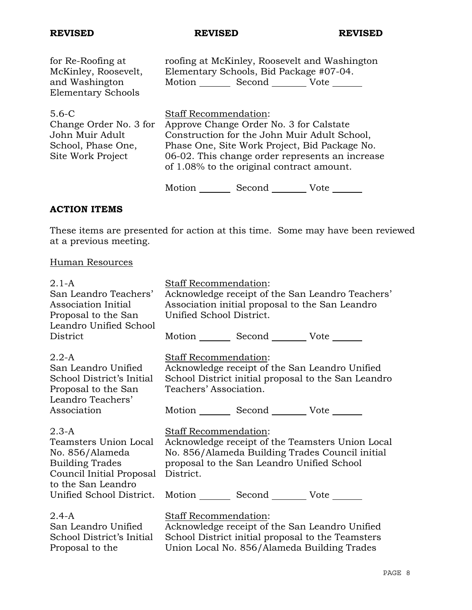| for Re-Roofing at<br>McKinley, Roosevelt,<br>and Washington<br><b>Elementary Schools</b>          |                              | Elementary Schools, Bid Package #07-04.<br>Motion _______ Second _________ Vote _____ | roofing at McKinley, Roosevelt and Washington                                                                                                    |
|---------------------------------------------------------------------------------------------------|------------------------------|---------------------------------------------------------------------------------------|--------------------------------------------------------------------------------------------------------------------------------------------------|
| $5.6 - C$<br>Change Order No. 3 for<br>John Muir Adult<br>School, Phase One,<br>Site Work Project | <b>Staff Recommendation:</b> | Approve Change Order No. 3 for Calstate<br>of 1.08% to the original contract amount.  | Construction for the John Muir Adult School,<br>Phase One, Site Work Project, Bid Package No.<br>06-02. This change order represents an increase |
|                                                                                                   | Motion                       | Second                                                                                | Vote                                                                                                                                             |

# **ACTION ITEMS**

These items are presented for action at this time. Some may have been reviewed at a previous meeting.

# Human Resources

| $2.1 - A$<br>San Leandro Teachers'<br>Association Initial<br>Proposal to the San<br>Leandro Unified School                                                  | Staff Recommendation:<br>Acknowledge receipt of the San Leandro Teachers'<br>Association initial proposal to the San Leandro<br>Unified School District.                                                                                   |
|-------------------------------------------------------------------------------------------------------------------------------------------------------------|--------------------------------------------------------------------------------------------------------------------------------------------------------------------------------------------------------------------------------------------|
| District                                                                                                                                                    | Motion Second Vote ______                                                                                                                                                                                                                  |
| $2.2-A$<br>San Leandro Unified<br>School District's Initial<br>Proposal to the San<br>Leandro Teachers'                                                     | Staff Recommendation:<br>Acknowledge receipt of the San Leandro Unified<br>School District initial proposal to the San Leandro<br>Teachers' Association.                                                                                   |
| Association                                                                                                                                                 | Motion _________ Second _________ Vote _______                                                                                                                                                                                             |
| $2.3-A$<br>Teamsters Union Local<br>No. 856/Alameda<br><b>Building Trades</b><br>Council Initial Proposal<br>to the San Leandro<br>Unified School District. | Staff Recommendation:<br>Acknowledge receipt of the Teamsters Union Local<br>No. 856/Alameda Building Trades Council initial<br>proposal to the San Leandro Unified School<br>District.<br>Motion _________ Second __________ Vote _______ |
| $2.4 - A$<br>San Leandro Unified<br>School District's Initial<br>Proposal to the                                                                            | Staff Recommendation:<br>Acknowledge receipt of the San Leandro Unified<br>School District initial proposal to the Teamsters<br>Union Local No. 856/Alameda Building Trades                                                                |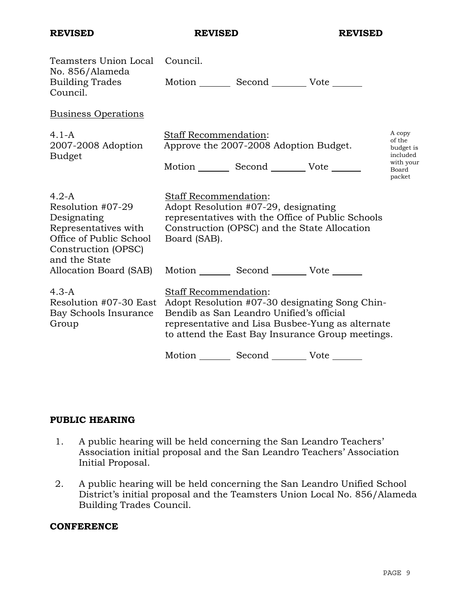| Teamsters Union Local Council.                                                                                                                                                            |                                                                                                      |
|-------------------------------------------------------------------------------------------------------------------------------------------------------------------------------------------|------------------------------------------------------------------------------------------------------|
| Motion Second Vote                                                                                                                                                                        |                                                                                                      |
|                                                                                                                                                                                           |                                                                                                      |
| Staff Recommendation:<br>Approve the 2007-2008 Adoption Budget.                                                                                                                           | A copy<br>of the<br>budget is<br>included                                                            |
| Motion _________ Second __________ Vote _______                                                                                                                                           | with your<br>Board<br>packet                                                                         |
| <b>Staff Recommendation:</b><br>Adopt Resolution #07-29, designating<br>representatives with the Office of Public Schools<br>Construction (OPSC) and the State Allocation<br>Board (SAB). |                                                                                                      |
| Motion _________ Second __________ Vote _______                                                                                                                                           |                                                                                                      |
| Staff Recommendation:<br>Resolution #07-30 East Adopt Resolution #07-30 designating Song Chin-<br>Bendib as San Leandro Unified's official                                                |                                                                                                      |
|                                                                                                                                                                                           | representative and Lisa Busbee-Yung as alternate<br>to attend the East Bay Insurance Group meetings. |

# **PUBLIC HEARING**

- 1. A public hearing will be held concerning the San Leandro Teachers' Association initial proposal and the San Leandro Teachers' Association Initial Proposal.
- 2. A public hearing will be held concerning the San Leandro Unified School District's initial proposal and the Teamsters Union Local No. 856/Alameda Building Trades Council.

# **CONFERENCE**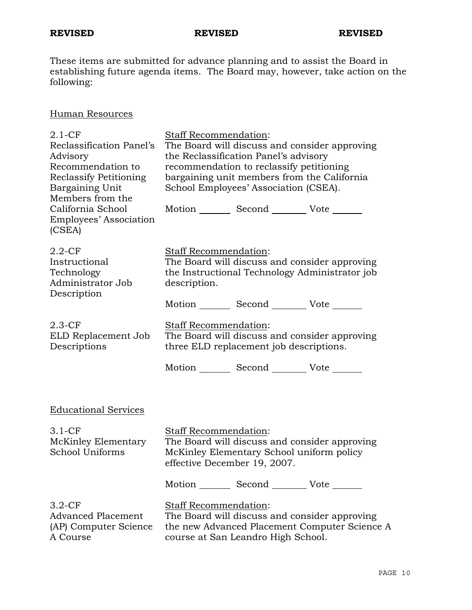These items are submitted for advance planning and to assist the Board in establishing future agenda items. The Board may, however, take action on the following:

# Human Resources

| $2.1 - CF$<br>Reclassification Panel's<br>Advisory<br>Recommendation to<br><b>Reclassify Petitioning</b><br>Bargaining Unit<br>Members from the<br>California School<br>Employees' Association<br>(CSEA) | Staff Recommendation:<br>The Board will discuss and consider approving<br>the Reclassification Panel's advisory<br>recommendation to reclassify petitioning<br>bargaining unit members from the California<br>School Employees' Association (CSEA).<br>Motion _________ Second __________ Vote _______ |
|----------------------------------------------------------------------------------------------------------------------------------------------------------------------------------------------------------|--------------------------------------------------------------------------------------------------------------------------------------------------------------------------------------------------------------------------------------------------------------------------------------------------------|
| $2.2$ -CF<br>Instructional<br>Technology<br>Administrator Job<br>Description                                                                                                                             | Staff Recommendation:<br>The Board will discuss and consider approving<br>the Instructional Technology Administrator job<br>description.                                                                                                                                                               |
| $2.3-CF$<br>ELD Replacement Job<br>Descriptions                                                                                                                                                          | Motion _________ Second __________ Vote _______<br>Staff Recommendation:<br>The Board will discuss and consider approving<br>three ELD replacement job descriptions.<br>Motion _________ Second __________ Vote _______                                                                                |
| <b>Educational Services</b>                                                                                                                                                                              |                                                                                                                                                                                                                                                                                                        |
| $3.1 - CF$<br>McKinley Elementary<br>School Uniforms                                                                                                                                                     | Staff Recommendation:<br>The Board will discuss and consider approving<br>McKinley Elementary School uniform policy<br>effective December 19, 2007.                                                                                                                                                    |
|                                                                                                                                                                                                          | Motion Second Vote                                                                                                                                                                                                                                                                                     |
| $3.2-CF$<br>Advanced Placement<br>(AP) Computer Science<br>A Course                                                                                                                                      | Staff Recommendation:<br>The Board will discuss and consider approving<br>the new Advanced Placement Computer Science A<br>course at San Leandro High School.                                                                                                                                          |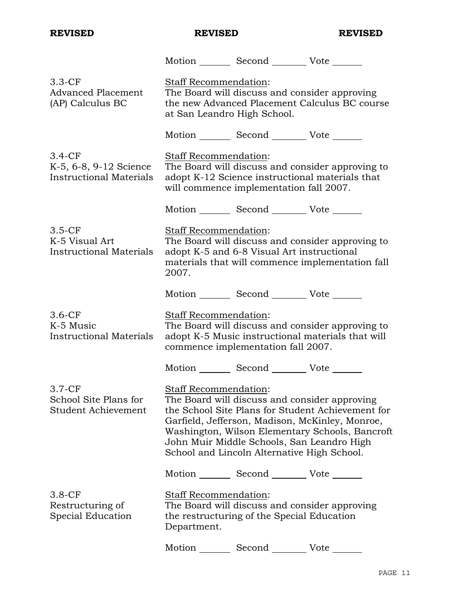|                                                                      |                                                      | Motion _________ Second __________ Vote _______                                                                                            |                                                                                                                                                         |
|----------------------------------------------------------------------|------------------------------------------------------|--------------------------------------------------------------------------------------------------------------------------------------------|---------------------------------------------------------------------------------------------------------------------------------------------------------|
| $3.3-CF$<br><b>Advanced Placement</b><br>(AP) Calculus BC            | Staff Recommendation:<br>at San Leandro High School. | The Board will discuss and consider approving                                                                                              | the new Advanced Placement Calculus BC course                                                                                                           |
|                                                                      |                                                      | Motion _________ Second __________ Vote _______                                                                                            |                                                                                                                                                         |
| $3.4-CF$<br>K-5, 6-8, 9-12 Science<br><b>Instructional Materials</b> | Staff Recommendation:                                | will commence implementation fall 2007.                                                                                                    | The Board will discuss and consider approving to<br>adopt K-12 Science instructional materials that                                                     |
|                                                                      |                                                      | Motion _________ Second __________ Vote _______                                                                                            |                                                                                                                                                         |
| $3.5-CF$<br>K-5 Visual Art<br><b>Instructional Materials</b>         | Staff Recommendation:<br>2007.                       | adopt K-5 and 6-8 Visual Art instructional                                                                                                 | The Board will discuss and consider approving to<br>materials that will commence implementation fall                                                    |
|                                                                      |                                                      | Motion _________ Second __________ Vote _______                                                                                            |                                                                                                                                                         |
| $3.6-CF$<br>K-5 Music<br><b>Instructional Materials</b>              | Staff Recommendation:                                | commence implementation fall 2007.                                                                                                         | The Board will discuss and consider approving to<br>adopt K-5 Music instructional materials that will                                                   |
|                                                                      |                                                      | Motion _________ Second __________ Vote _______                                                                                            |                                                                                                                                                         |
| $3.7-CF$<br>School Site Plans for<br>Student Achievement             | Staff Recommendation:                                | The Board will discuss and consider approving<br>John Muir Middle Schools, San Leandro High<br>School and Lincoln Alternative High School. | the School Site Plans for Student Achievement for<br>Garfield, Jefferson, Madison, McKinley, Monroe,<br>Washington, Wilson Elementary Schools, Bancroft |
|                                                                      |                                                      | Motion _________ Second __________ Vote _______                                                                                            |                                                                                                                                                         |
| $3.8-CF$<br>Restructuring of<br>Special Education                    | Staff Recommendation:<br>Department.                 | The Board will discuss and consider approving<br>the restructuring of the Special Education                                                |                                                                                                                                                         |
|                                                                      | Motion $\_\_$                                        | Second _______                                                                                                                             | Vote                                                                                                                                                    |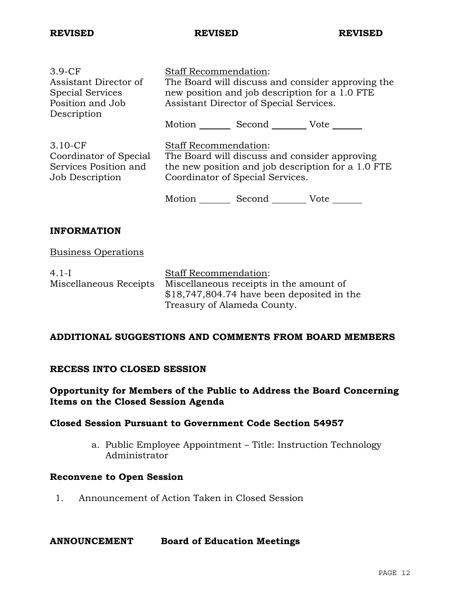| $3.9-CF$                | <b>Staff Recommendation:</b>                       |        |                                               |
|-------------------------|----------------------------------------------------|--------|-----------------------------------------------|
| Assistant Director of   | The Board will discuss and consider approving the  |        |                                               |
| <b>Special Services</b> | new position and job description for a 1.0 FTE     |        |                                               |
| Position and Job        | Assistant Director of Special Services.            |        |                                               |
| Description             |                                                    |        |                                               |
|                         | Motion Second Vote                                 |        |                                               |
|                         |                                                    |        |                                               |
| $3.10$ -CF              | <b>Staff Recommendation:</b>                       |        |                                               |
| Coordinator of Special  |                                                    |        | The Board will discuss and consider approving |
| Services Position and   | the new position and job description for a 1.0 FTE |        |                                               |
| Job Description         | Coordinator of Special Services.                   |        |                                               |
|                         |                                                    |        |                                               |
|                         | Motion                                             | Second | Vote                                          |

# **INFORMATION**

### Business Operations

| $4.1 - I$              | <b>Staff Recommendation:</b>                |
|------------------------|---------------------------------------------|
| Miscellaneous Receipts | Miscellaneous receipts in the amount of     |
|                        | $$18,747,804.74$ have been deposited in the |
|                        | Treasury of Alameda County.                 |

# **ADDITIONAL SUGGESTIONS AND COMMENTS FROM BOARD MEMBERS**

### **RECESS INTO CLOSED SESSION**

# **Opportunity for Members of the Public to Address the Board Concerning Items on the Closed Session Agenda**

# **Closed Session Pursuant to Government Code Section 54957**

a. Public Employee Appointment – Title: Instruction Technology Administrator

### **Reconvene to Open Session**

1. Announcement of Action Taken in Closed Session

#### **ANNOUNCEMENT Board of Education Meetings**